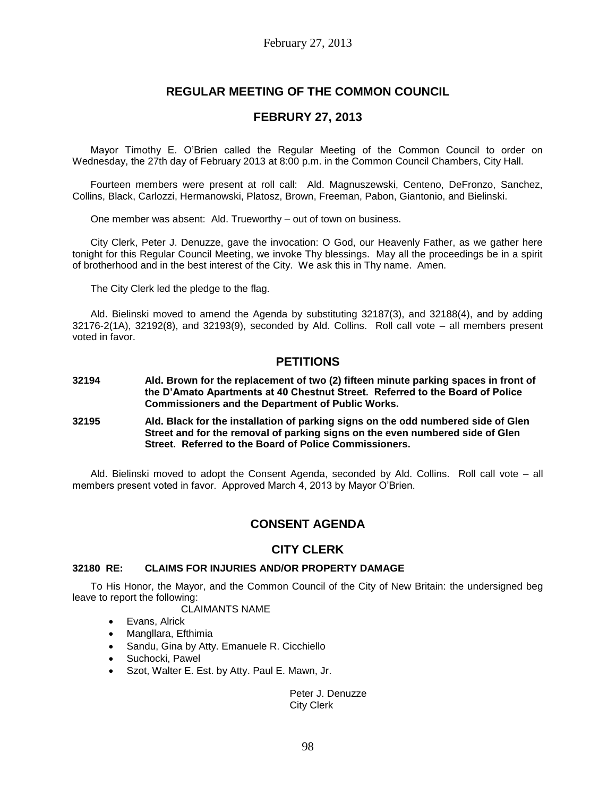# **REGULAR MEETING OF THE COMMON COUNCIL**

## **FEBRURY 27, 2013**

Mayor Timothy E. O'Brien called the Regular Meeting of the Common Council to order on Wednesday, the 27th day of February 2013 at 8:00 p.m. in the Common Council Chambers, City Hall.

Fourteen members were present at roll call: Ald. Magnuszewski, Centeno, DeFronzo, Sanchez, Collins, Black, Carlozzi, Hermanowski, Platosz, Brown, Freeman, Pabon, Giantonio, and Bielinski.

One member was absent: Ald. Trueworthy – out of town on business.

City Clerk, Peter J. Denuzze, gave the invocation: O God, our Heavenly Father, as we gather here tonight for this Regular Council Meeting, we invoke Thy blessings. May all the proceedings be in a spirit of brotherhood and in the best interest of the City. We ask this in Thy name. Amen.

The City Clerk led the pledge to the flag.

Ald. Bielinski moved to amend the Agenda by substituting 32187(3), and 32188(4), and by adding 32176-2(1A), 32192(8), and 32193(9), seconded by Ald. Collins. Roll call vote – all members present voted in favor.

## **PETITIONS**

- **32194 Ald. Brown for the replacement of two (2) fifteen minute parking spaces in front of the D'Amato Apartments at 40 Chestnut Street. Referred to the Board of Police Commissioners and the Department of Public Works.**
- **32195 Ald. Black for the installation of parking signs on the odd numbered side of Glen Street and for the removal of parking signs on the even numbered side of Glen Street. Referred to the Board of Police Commissioners.**

Ald. Bielinski moved to adopt the Consent Agenda, seconded by Ald. Collins. Roll call vote – all members present voted in favor. Approved March 4, 2013 by Mayor O'Brien.

# **CONSENT AGENDA**

## **CITY CLERK**

### **32180 RE: CLAIMS FOR INJURIES AND/OR PROPERTY DAMAGE**

To His Honor, the Mayor, and the Common Council of the City of New Britain: the undersigned beg leave to report the following:

## CLAIMANTS NAME

- Evans, Alrick
- Mangllara, Efthimia
- Sandu, Gina by Atty. Emanuele R. Cicchiello
- Suchocki, Pawel
- Szot, Walter E. Est. by Atty. Paul E. Mawn, Jr.

### Peter J. Denuzze City Clerk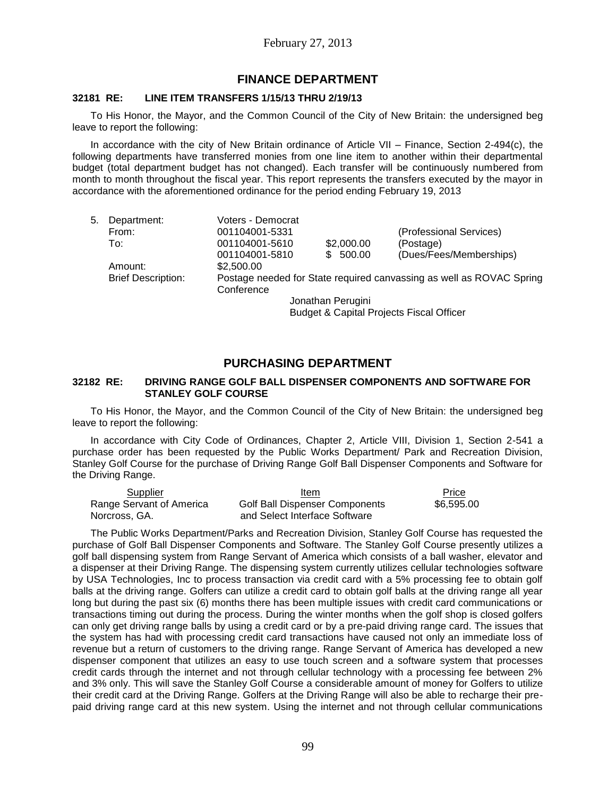## **FINANCE DEPARTMENT**

### **32181 RE: LINE ITEM TRANSFERS 1/15/13 THRU 2/19/13**

To His Honor, the Mayor, and the Common Council of the City of New Britain: the undersigned beg leave to report the following:

In accordance with the city of New Britain ordinance of Article VII – Finance, Section 2-494(c), the following departments have transferred monies from one line item to another within their departmental budget (total department budget has not changed). Each transfer will be continuously numbered from month to month throughout the fiscal year. This report represents the transfers executed by the mayor in accordance with the aforementioned ordinance for the period ending February 19, 2013

| 5. | Department:               | Voters - Democrat |            |                                                                      |  |  |
|----|---------------------------|-------------------|------------|----------------------------------------------------------------------|--|--|
|    | From:                     | 001104001-5331    |            | (Professional Services)                                              |  |  |
|    | To:                       | 001104001-5610    | \$2,000.00 | (Postage)                                                            |  |  |
|    |                           | 001104001-5810    | \$500.00   | (Dues/Fees/Memberships)                                              |  |  |
|    | Amount:                   | \$2,500.00        |            |                                                                      |  |  |
|    | <b>Brief Description:</b> | Conference        |            | Postage needed for State required canvassing as well as ROVAC Spring |  |  |
|    | Jonathan Perugini         |                   |            |                                                                      |  |  |
|    |                           |                   |            |                                                                      |  |  |

Budget & Capital Projects Fiscal Officer

## **PURCHASING DEPARTMENT**

### **32182 RE: DRIVING RANGE GOLF BALL DISPENSER COMPONENTS AND SOFTWARE FOR STANLEY GOLF COURSE**

To His Honor, the Mayor, and the Common Council of the City of New Britain: the undersigned beg leave to report the following:

In accordance with City Code of Ordinances, Chapter 2, Article VIII, Division 1, Section 2-541 a purchase order has been requested by the Public Works Department/ Park and Recreation Division, Stanley Golf Course for the purchase of Driving Range Golf Ball Dispenser Components and Software for the Driving Range.

| Supplier                 | Item                                  | Price      |
|--------------------------|---------------------------------------|------------|
| Range Servant of America | <b>Golf Ball Dispenser Components</b> | \$6,595,00 |
| Norcross, GA.            | and Select Interface Software         |            |

The Public Works Department/Parks and Recreation Division, Stanley Golf Course has requested the purchase of Golf Ball Dispenser Components and Software. The Stanley Golf Course presently utilizes a golf ball dispensing system from Range Servant of America which consists of a ball washer, elevator and a dispenser at their Driving Range. The dispensing system currently utilizes cellular technologies software by USA Technologies, Inc to process transaction via credit card with a 5% processing fee to obtain golf balls at the driving range. Golfers can utilize a credit card to obtain golf balls at the driving range all year long but during the past six (6) months there has been multiple issues with credit card communications or transactions timing out during the process. During the winter months when the golf shop is closed golfers can only get driving range balls by using a credit card or by a pre-paid driving range card. The issues that the system has had with processing credit card transactions have caused not only an immediate loss of revenue but a return of customers to the driving range. Range Servant of America has developed a new dispenser component that utilizes an easy to use touch screen and a software system that processes credit cards through the internet and not through cellular technology with a processing fee between 2% and 3% only. This will save the Stanley Golf Course a considerable amount of money for Golfers to utilize their credit card at the Driving Range. Golfers at the Driving Range will also be able to recharge their prepaid driving range card at this new system. Using the internet and not through cellular communications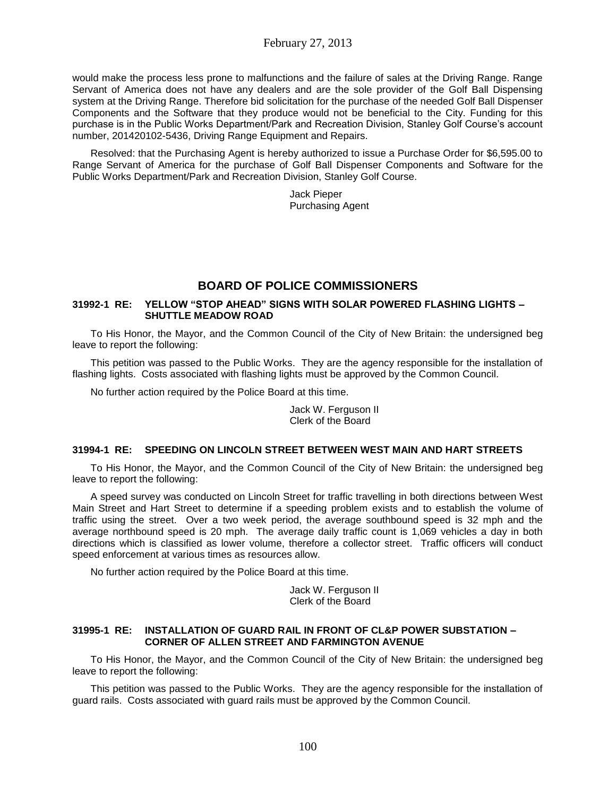would make the process less prone to malfunctions and the failure of sales at the Driving Range. Range Servant of America does not have any dealers and are the sole provider of the Golf Ball Dispensing system at the Driving Range. Therefore bid solicitation for the purchase of the needed Golf Ball Dispenser Components and the Software that they produce would not be beneficial to the City. Funding for this purchase is in the Public Works Department/Park and Recreation Division, Stanley Golf Course's account number, 201420102-5436, Driving Range Equipment and Repairs.

Resolved: that the Purchasing Agent is hereby authorized to issue a Purchase Order for \$6,595.00 to Range Servant of America for the purchase of Golf Ball Dispenser Components and Software for the Public Works Department/Park and Recreation Division, Stanley Golf Course.

> Jack Pieper Purchasing Agent

# **BOARD OF POLICE COMMISSIONERS**

## **31992-1 RE: YELLOW "STOP AHEAD" SIGNS WITH SOLAR POWERED FLASHING LIGHTS – SHUTTLE MEADOW ROAD**

To His Honor, the Mayor, and the Common Council of the City of New Britain: the undersigned beg leave to report the following:

This petition was passed to the Public Works. They are the agency responsible for the installation of flashing lights. Costs associated with flashing lights must be approved by the Common Council.

No further action required by the Police Board at this time.

Jack W. Ferguson II Clerk of the Board

## **31994-1 RE: SPEEDING ON LINCOLN STREET BETWEEN WEST MAIN AND HART STREETS**

To His Honor, the Mayor, and the Common Council of the City of New Britain: the undersigned beg leave to report the following:

A speed survey was conducted on Lincoln Street for traffic travelling in both directions between West Main Street and Hart Street to determine if a speeding problem exists and to establish the volume of traffic using the street. Over a two week period, the average southbound speed is 32 mph and the average northbound speed is 20 mph. The average daily traffic count is 1,069 vehicles a day in both directions which is classified as lower volume, therefore a collector street. Traffic officers will conduct speed enforcement at various times as resources allow.

No further action required by the Police Board at this time.

Jack W. Ferguson II Clerk of the Board

### **31995-1 RE: INSTALLATION OF GUARD RAIL IN FRONT OF CL&P POWER SUBSTATION – CORNER OF ALLEN STREET AND FARMINGTON AVENUE**

To His Honor, the Mayor, and the Common Council of the City of New Britain: the undersigned beg leave to report the following:

This petition was passed to the Public Works. They are the agency responsible for the installation of guard rails. Costs associated with guard rails must be approved by the Common Council.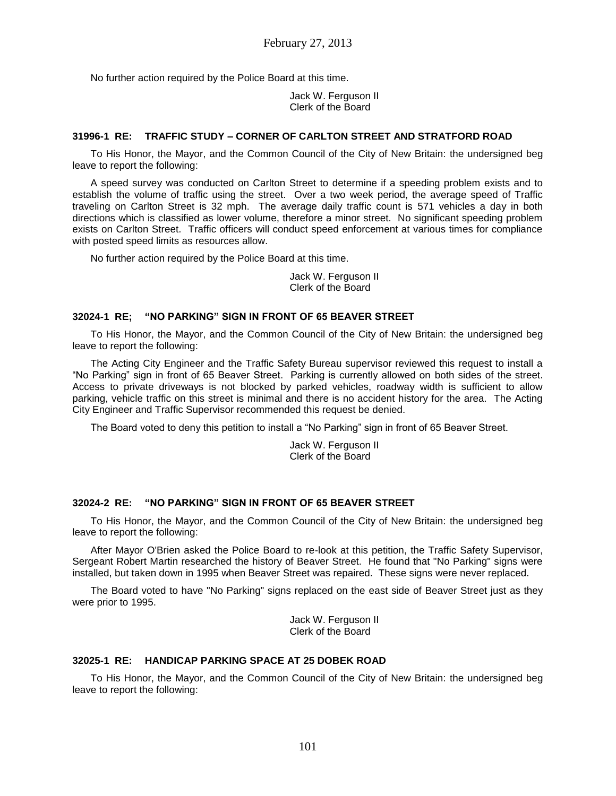No further action required by the Police Board at this time.

Jack W. Ferguson II Clerk of the Board

### **31996-1 RE: TRAFFIC STUDY – CORNER OF CARLTON STREET AND STRATFORD ROAD**

To His Honor, the Mayor, and the Common Council of the City of New Britain: the undersigned beg leave to report the following:

A speed survey was conducted on Carlton Street to determine if a speeding problem exists and to establish the volume of traffic using the street. Over a two week period, the average speed of Traffic traveling on Carlton Street is 32 mph. The average daily traffic count is 571 vehicles a day in both directions which is classified as lower volume, therefore a minor street. No significant speeding problem exists on Carlton Street. Traffic officers will conduct speed enforcement at various times for compliance with posted speed limits as resources allow.

No further action required by the Police Board at this time.

Jack W. Ferguson II Clerk of the Board

### **32024-1 RE; "NO PARKING" SIGN IN FRONT OF 65 BEAVER STREET**

To His Honor, the Mayor, and the Common Council of the City of New Britain: the undersigned beg leave to report the following:

The Acting City Engineer and the Traffic Safety Bureau supervisor reviewed this request to install a "No Parking" sign in front of 65 Beaver Street. Parking is currently allowed on both sides of the street. Access to private driveways is not blocked by parked vehicles, roadway width is sufficient to allow parking, vehicle traffic on this street is minimal and there is no accident history for the area. The Acting City Engineer and Traffic Supervisor recommended this request be denied.

The Board voted to deny this petition to install a "No Parking" sign in front of 65 Beaver Street.

Jack W. Ferguson II Clerk of the Board

### **32024-2 RE: "NO PARKING" SIGN IN FRONT OF 65 BEAVER STREET**

To His Honor, the Mayor, and the Common Council of the City of New Britain: the undersigned beg leave to report the following:

After Mayor O'Brien asked the Police Board to re-look at this petition, the Traffic Safety Supervisor, Sergeant Robert Martin researched the history of Beaver Street. He found that "No Parking" signs were installed, but taken down in 1995 when Beaver Street was repaired. These signs were never replaced.

The Board voted to have "No Parking" signs replaced on the east side of Beaver Street just as they were prior to 1995.

> Jack W. Ferguson II Clerk of the Board

## **32025-1 RE: HANDICAP PARKING SPACE AT 25 DOBEK ROAD**

To His Honor, the Mayor, and the Common Council of the City of New Britain: the undersigned beg leave to report the following: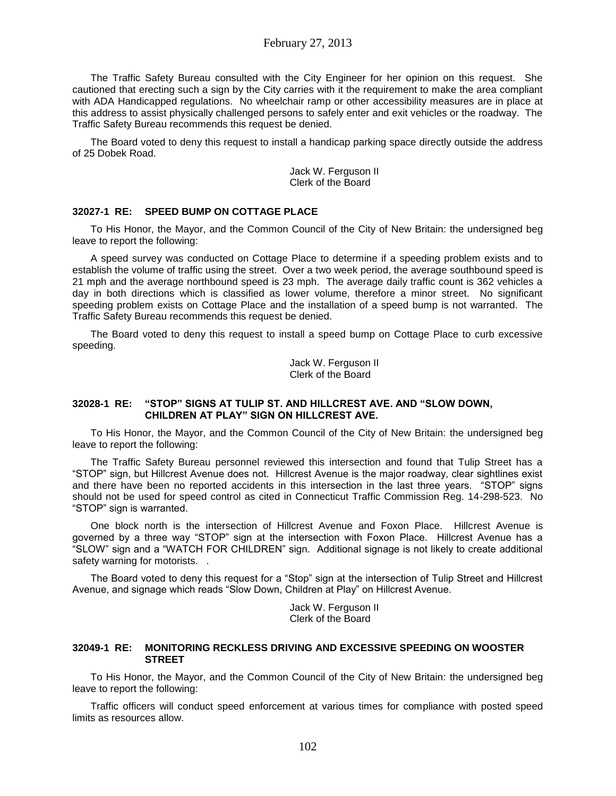The Traffic Safety Bureau consulted with the City Engineer for her opinion on this request. She cautioned that erecting such a sign by the City carries with it the requirement to make the area compliant with ADA Handicapped regulations. No wheelchair ramp or other accessibility measures are in place at this address to assist physically challenged persons to safely enter and exit vehicles or the roadway. The Traffic Safety Bureau recommends this request be denied.

The Board voted to deny this request to install a handicap parking space directly outside the address of 25 Dobek Road.

> Jack W. Ferguson II Clerk of the Board

#### **32027-1 RE: SPEED BUMP ON COTTAGE PLACE**

To His Honor, the Mayor, and the Common Council of the City of New Britain: the undersigned beg leave to report the following:

A speed survey was conducted on Cottage Place to determine if a speeding problem exists and to establish the volume of traffic using the street. Over a two week period, the average southbound speed is 21 mph and the average northbound speed is 23 mph. The average daily traffic count is 362 vehicles a day in both directions which is classified as lower volume, therefore a minor street. No significant speeding problem exists on Cottage Place and the installation of a speed bump is not warranted. The Traffic Safety Bureau recommends this request be denied.

The Board voted to deny this request to install a speed bump on Cottage Place to curb excessive speeding.

> Jack W. Ferguson II Clerk of the Board

### **32028-1 RE: "STOP" SIGNS AT TULIP ST. AND HILLCREST AVE. AND "SLOW DOWN, CHILDREN AT PLAY" SIGN ON HILLCREST AVE.**

To His Honor, the Mayor, and the Common Council of the City of New Britain: the undersigned beg leave to report the following:

The Traffic Safety Bureau personnel reviewed this intersection and found that Tulip Street has a "STOP" sign, but Hillcrest Avenue does not. Hillcrest Avenue is the major roadway, clear sightlines exist and there have been no reported accidents in this intersection in the last three years. "STOP" signs should not be used for speed control as cited in Connecticut Traffic Commission Reg. 14-298-523. No "STOP" sign is warranted.

One block north is the intersection of Hillcrest Avenue and Foxon Place. Hillcrest Avenue is governed by a three way "STOP" sign at the intersection with Foxon Place. Hillcrest Avenue has a "SLOW" sign and a "WATCH FOR CHILDREN" sign. Additional signage is not likely to create additional safety warning for motorists. .

The Board voted to deny this request for a "Stop" sign at the intersection of Tulip Street and Hillcrest Avenue, and signage which reads "Slow Down, Children at Play" on Hillcrest Avenue.

> Jack W. Ferguson II Clerk of the Board

#### **32049-1 RE: MONITORING RECKLESS DRIVING AND EXCESSIVE SPEEDING ON WOOSTER STREET**

To His Honor, the Mayor, and the Common Council of the City of New Britain: the undersigned beg leave to report the following:

Traffic officers will conduct speed enforcement at various times for compliance with posted speed limits as resources allow.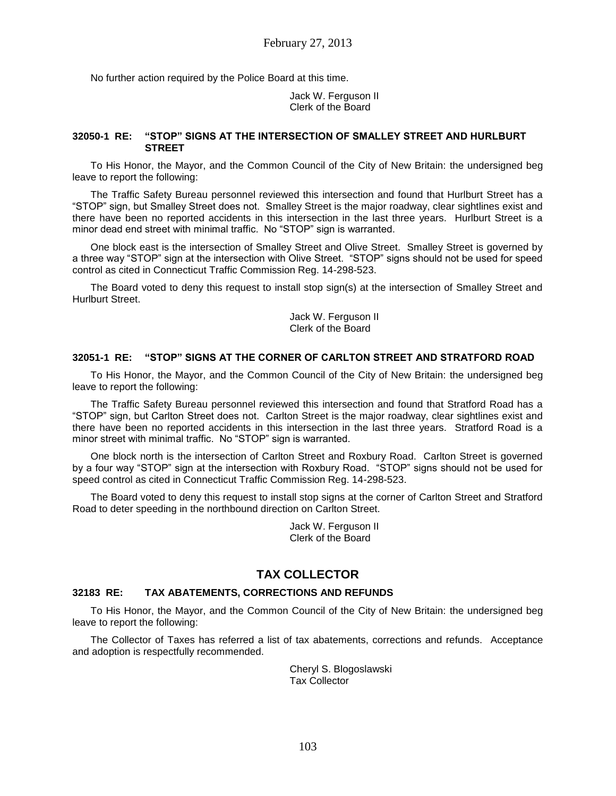No further action required by the Police Board at this time.

Jack W. Ferguson II Clerk of the Board

### **32050-1 RE: "STOP" SIGNS AT THE INTERSECTION OF SMALLEY STREET AND HURLBURT STREET**

To His Honor, the Mayor, and the Common Council of the City of New Britain: the undersigned beg leave to report the following:

The Traffic Safety Bureau personnel reviewed this intersection and found that Hurlburt Street has a "STOP" sign, but Smalley Street does not. Smalley Street is the major roadway, clear sightlines exist and there have been no reported accidents in this intersection in the last three years. Hurlburt Street is a minor dead end street with minimal traffic. No "STOP" sign is warranted.

One block east is the intersection of Smalley Street and Olive Street. Smalley Street is governed by a three way "STOP" sign at the intersection with Olive Street. "STOP" signs should not be used for speed control as cited in Connecticut Traffic Commission Reg. 14-298-523.

The Board voted to deny this request to install stop sign(s) at the intersection of Smalley Street and Hurlburt Street.

> Jack W. Ferguson II Clerk of the Board

### **32051-1 RE: "STOP" SIGNS AT THE CORNER OF CARLTON STREET AND STRATFORD ROAD**

To His Honor, the Mayor, and the Common Council of the City of New Britain: the undersigned beg leave to report the following:

The Traffic Safety Bureau personnel reviewed this intersection and found that Stratford Road has a "STOP" sign, but Carlton Street does not. Carlton Street is the major roadway, clear sightlines exist and there have been no reported accidents in this intersection in the last three years. Stratford Road is a minor street with minimal traffic. No "STOP" sign is warranted.

One block north is the intersection of Carlton Street and Roxbury Road. Carlton Street is governed by a four way "STOP" sign at the intersection with Roxbury Road. "STOP" signs should not be used for speed control as cited in Connecticut Traffic Commission Reg. 14-298-523.

The Board voted to deny this request to install stop signs at the corner of Carlton Street and Stratford Road to deter speeding in the northbound direction on Carlton Street.

> Jack W. Ferguson II Clerk of the Board

## **TAX COLLECTOR**

### **32183 RE: TAX ABATEMENTS, CORRECTIONS AND REFUNDS**

To His Honor, the Mayor, and the Common Council of the City of New Britain: the undersigned beg leave to report the following:

The Collector of Taxes has referred a list of tax abatements, corrections and refunds. Acceptance and adoption is respectfully recommended.

> Cheryl S. Blogoslawski Tax Collector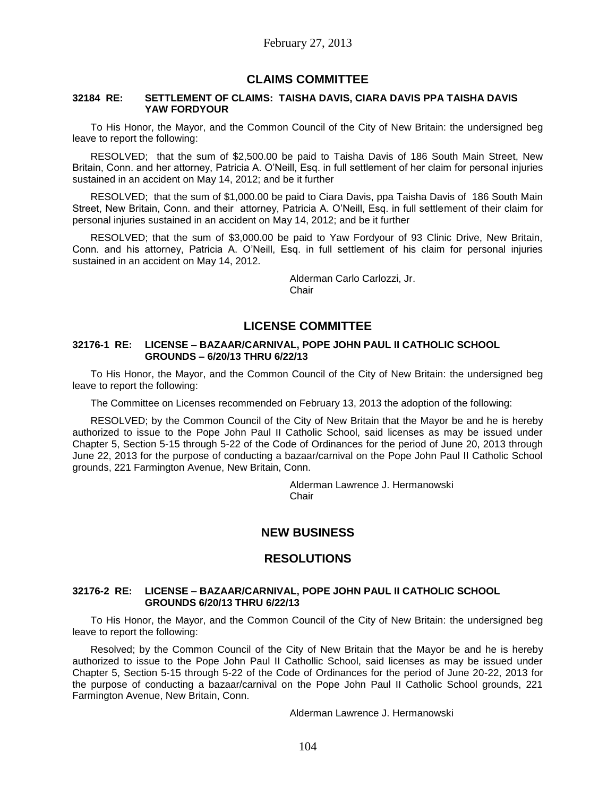## **CLAIMS COMMITTEE**

#### **32184 RE: SETTLEMENT OF CLAIMS: TAISHA DAVIS, CIARA DAVIS PPA TAISHA DAVIS YAW FORDYOUR**

To His Honor, the Mayor, and the Common Council of the City of New Britain: the undersigned beg leave to report the following:

RESOLVED; that the sum of \$2,500.00 be paid to Taisha Davis of 186 South Main Street, New Britain, Conn. and her attorney, Patricia A. O'Neill, Esq. in full settlement of her claim for personal injuries sustained in an accident on May 14, 2012; and be it further

RESOLVED; that the sum of \$1,000.00 be paid to Ciara Davis, ppa Taisha Davis of 186 South Main Street, New Britain, Conn. and their attorney, Patricia A. O'Neill, Esq. in full settlement of their claim for personal injuries sustained in an accident on May 14, 2012; and be it further

RESOLVED; that the sum of \$3,000.00 be paid to Yaw Fordyour of 93 Clinic Drive, New Britain, Conn. and his attorney, Patricia A. O'Neill, Esq. in full settlement of his claim for personal injuries sustained in an accident on May 14, 2012.

> Alderman Carlo Carlozzi, Jr. **Chair**

## **LICENSE COMMITTEE**

### **32176-1 RE: LICENSE – BAZAAR/CARNIVAL, POPE JOHN PAUL II CATHOLIC SCHOOL GROUNDS – 6/20/13 THRU 6/22/13**

To His Honor, the Mayor, and the Common Council of the City of New Britain: the undersigned beg leave to report the following:

The Committee on Licenses recommended on February 13, 2013 the adoption of the following:

RESOLVED; by the Common Council of the City of New Britain that the Mayor be and he is hereby authorized to issue to the Pope John Paul II Catholic School, said licenses as may be issued under Chapter 5, Section 5-15 through 5-22 of the Code of Ordinances for the period of June 20, 2013 through June 22, 2013 for the purpose of conducting a bazaar/carnival on the Pope John Paul II Catholic School grounds, 221 Farmington Avenue, New Britain, Conn.

> Alderman Lawrence J. Hermanowski Chair

# **NEW BUSINESS**

## **RESOLUTIONS**

#### **32176-2 RE: LICENSE – BAZAAR/CARNIVAL, POPE JOHN PAUL II CATHOLIC SCHOOL GROUNDS 6/20/13 THRU 6/22/13**

To His Honor, the Mayor, and the Common Council of the City of New Britain: the undersigned beg leave to report the following:

Resolved; by the Common Council of the City of New Britain that the Mayor be and he is hereby authorized to issue to the Pope John Paul II Cathollic School, said licenses as may be issued under Chapter 5, Section 5-15 through 5-22 of the Code of Ordinances for the period of June 20-22, 2013 for the purpose of conducting a bazaar/carnival on the Pope John Paul II Catholic School grounds, 221 Farmington Avenue, New Britain, Conn.

Alderman Lawrence J. Hermanowski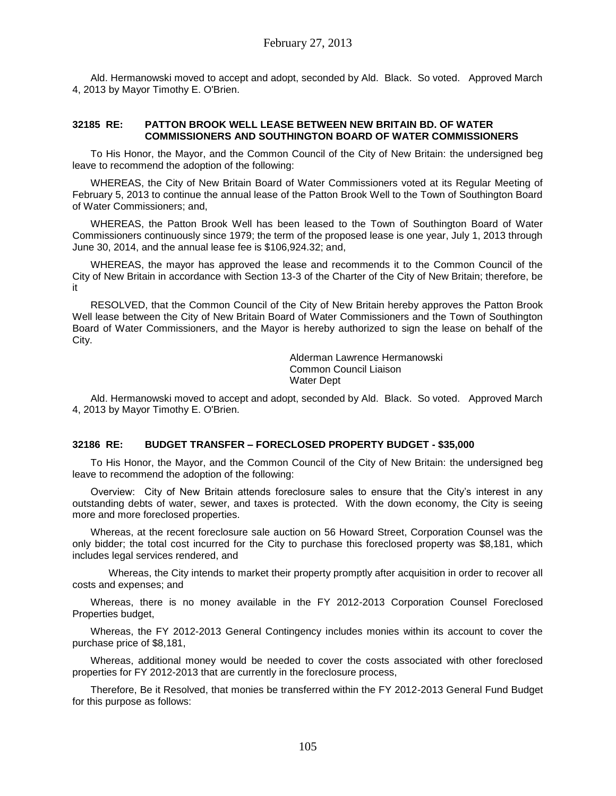Ald. Hermanowski moved to accept and adopt, seconded by Ald. Black. So voted. Approved March 4, 2013 by Mayor Timothy E. O'Brien.

### **32185 RE: PATTON BROOK WELL LEASE BETWEEN NEW BRITAIN BD. OF WATER COMMISSIONERS AND SOUTHINGTON BOARD OF WATER COMMISSIONERS**

To His Honor, the Mayor, and the Common Council of the City of New Britain: the undersigned beg leave to recommend the adoption of the following:

WHEREAS, the City of New Britain Board of Water Commissioners voted at its Regular Meeting of February 5, 2013 to continue the annual lease of the Patton Brook Well to the Town of Southington Board of Water Commissioners; and,

WHEREAS, the Patton Brook Well has been leased to the Town of Southington Board of Water Commissioners continuously since 1979; the term of the proposed lease is one year, July 1, 2013 through June 30, 2014, and the annual lease fee is \$106,924.32; and,

WHEREAS, the mayor has approved the lease and recommends it to the Common Council of the City of New Britain in accordance with Section 13-3 of the Charter of the City of New Britain; therefore, be it

RESOLVED, that the Common Council of the City of New Britain hereby approves the Patton Brook Well lease between the City of New Britain Board of Water Commissioners and the Town of Southington Board of Water Commissioners, and the Mayor is hereby authorized to sign the lease on behalf of the City.

> Alderman Lawrence Hermanowski Common Council Liaison Water Dept

Ald. Hermanowski moved to accept and adopt, seconded by Ald. Black. So voted. Approved March 4, 2013 by Mayor Timothy E. O'Brien.

### **32186 RE: BUDGET TRANSFER – FORECLOSED PROPERTY BUDGET - \$35,000**

To His Honor, the Mayor, and the Common Council of the City of New Britain: the undersigned beg leave to recommend the adoption of the following:

Overview: City of New Britain attends foreclosure sales to ensure that the City's interest in any outstanding debts of water, sewer, and taxes is protected. With the down economy, the City is seeing more and more foreclosed properties.

Whereas, at the recent foreclosure sale auction on 56 Howard Street, Corporation Counsel was the only bidder; the total cost incurred for the City to purchase this foreclosed property was \$8,181, which includes legal services rendered, and

Whereas, the City intends to market their property promptly after acquisition in order to recover all costs and expenses; and

Whereas, there is no money available in the FY 2012-2013 Corporation Counsel Foreclosed Properties budget,

Whereas, the FY 2012-2013 General Contingency includes monies within its account to cover the purchase price of \$8,181,

Whereas, additional money would be needed to cover the costs associated with other foreclosed properties for FY 2012-2013 that are currently in the foreclosure process,

Therefore, Be it Resolved, that monies be transferred within the FY 2012-2013 General Fund Budget for this purpose as follows: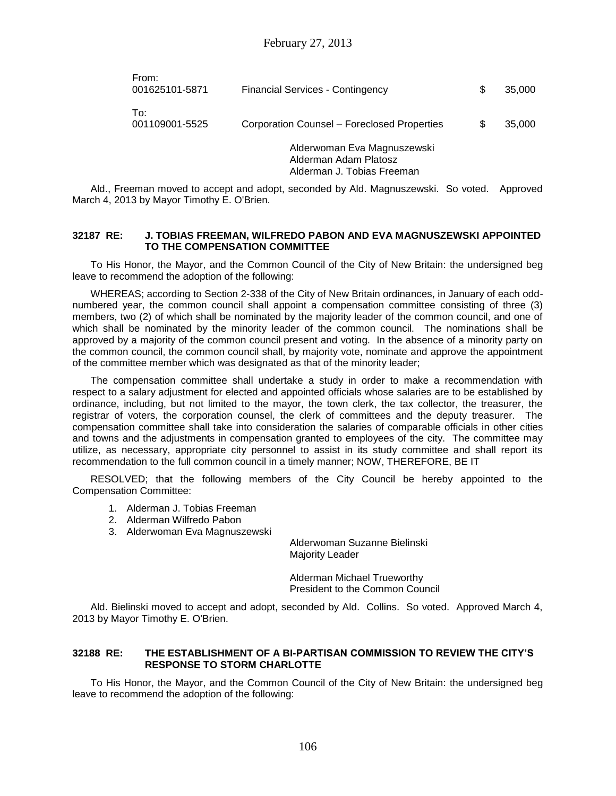| From:<br>001625101-5871 | <b>Financial Services - Contingency</b>                                            | \$  | 35,000 |
|-------------------------|------------------------------------------------------------------------------------|-----|--------|
| To:<br>001109001-5525   | Corporation Counsel – Foreclosed Properties                                        | \$. | 35,000 |
|                         | Alderwoman Eva Magnuszewski<br>Alderman Adam Platosz<br>Alderman J. Tobias Freeman |     |        |

Ald., Freeman moved to accept and adopt, seconded by Ald. Magnuszewski. So voted. Approved March 4, 2013 by Mayor Timothy E. O'Brien.

#### **32187 RE: J. TOBIAS FREEMAN, WILFREDO PABON AND EVA MAGNUSZEWSKI APPOINTED TO THE COMPENSATION COMMITTEE**

To His Honor, the Mayor, and the Common Council of the City of New Britain: the undersigned beg leave to recommend the adoption of the following:

WHEREAS; according to Section 2-338 of the City of New Britain ordinances, in January of each oddnumbered year, the common council shall appoint a compensation committee consisting of three (3) members, two (2) of which shall be nominated by the majority leader of the common council, and one of which shall be nominated by the minority leader of the common council. The nominations shall be approved by a majority of the common council present and voting. In the absence of a minority party on the common council, the common council shall, by majority vote, nominate and approve the appointment of the committee member which was designated as that of the minority leader;

The compensation committee shall undertake a study in order to make a recommendation with respect to a salary adjustment for elected and appointed officials whose salaries are to be established by ordinance, including, but not limited to the mayor, the town clerk, the tax collector, the treasurer, the registrar of voters, the corporation counsel, the clerk of committees and the deputy treasurer. The compensation committee shall take into consideration the salaries of comparable officials in other cities and towns and the adjustments in compensation granted to employees of the city. The committee may utilize, as necessary, appropriate city personnel to assist in its study committee and shall report its recommendation to the full common council in a timely manner; NOW, THEREFORE, BE IT

RESOLVED; that the following members of the City Council be hereby appointed to the Compensation Committee:

- 1. Alderman J. Tobias Freeman
- 2. Alderman Wilfredo Pabon
- 3. Alderwoman Eva Magnuszewski

Alderwoman Suzanne Bielinski Majority Leader

Alderman Michael Trueworthy President to the Common Council

Ald. Bielinski moved to accept and adopt, seconded by Ald. Collins. So voted. Approved March 4, 2013 by Mayor Timothy E. O'Brien.

### **32188 RE: THE ESTABLISHMENT OF A BI-PARTISAN COMMISSION TO REVIEW THE CITY'S RESPONSE TO STORM CHARLOTTE**

To His Honor, the Mayor, and the Common Council of the City of New Britain: the undersigned beg leave to recommend the adoption of the following: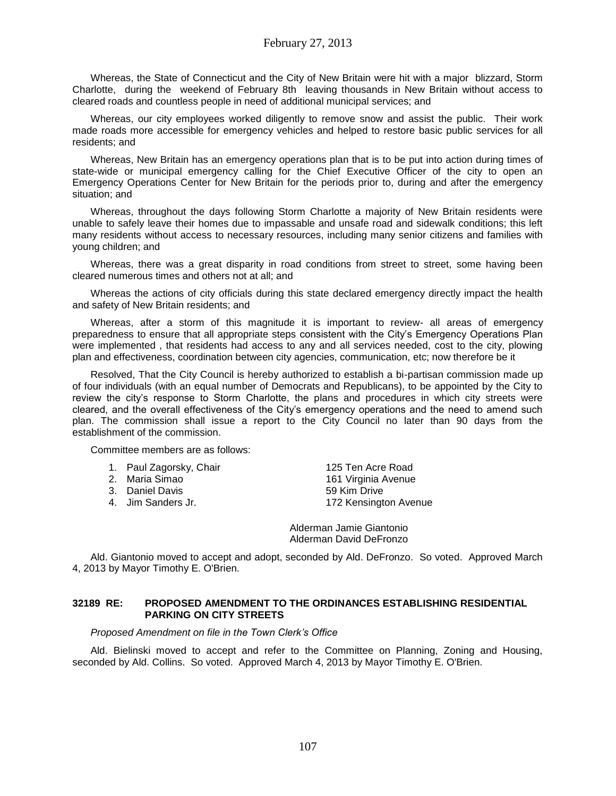Whereas, the State of Connecticut and the City of New Britain were hit with a major blizzard, Storm Charlotte, during the weekend of February 8th leaving thousands in New Britain without access to cleared roads and countless people in need of additional municipal services; and

Whereas, our city employees worked diligently to remove snow and assist the public. Their work made roads more accessible for emergency vehicles and helped to restore basic public services for all residents; and

Whereas, New Britain has an emergency operations plan that is to be put into action during times of state-wide or municipal emergency calling for the Chief Executive Officer of the city to open an Emergency Operations Center for New Britain for the periods prior to, during and after the emergency situation; and

Whereas, throughout the days following Storm Charlotte a majority of New Britain residents were unable to safely leave their homes due to impassable and unsafe road and sidewalk conditions; this left many residents without access to necessary resources, including many senior citizens and families with young children; and

Whereas, there was a great disparity in road conditions from street to street, some having been cleared numerous times and others not at all; and

Whereas the actions of city officials during this state declared emergency directly impact the health and safety of New Britain residents; and

Whereas, after a storm of this magnitude it is important to review- all areas of emergency preparedness to ensure that all appropriate steps consistent with the City's Emergency Operations Plan were implemented , that residents had access to any and all services needed, cost to the city, plowing plan and effectiveness, coordination between city agencies, communication, etc; now therefore be it

Resolved, That the City Council is hereby authorized to establish a bi-partisan commission made up of four individuals (with an equal number of Democrats and Republicans), to be appointed by the City to review the city's response to Storm Charlotte, the plans and procedures in which city streets were cleared, and the overall effectiveness of the City's emergency operations and the need to amend such plan. The commission shall issue a report to the City Council no later than 90 days from the establishment of the commission.

Committee members are as follows:

| 1. | Paul Zagorsky, Chair |
|----|----------------------|
|    |                      |

- 
- 
- 

125 Ten Acre Road 2. Maria Simao 161 Virginia Avenue 3. Daniel Davis **59 Kim Drive** 4. Jim Sanders Jr. 172 Kensington Avenue

> Alderman Jamie Giantonio Alderman David DeFronzo

Ald. Giantonio moved to accept and adopt, seconded by Ald. DeFronzo. So voted. Approved March 4, 2013 by Mayor Timothy E. O'Brien.

### **32189 RE: PROPOSED AMENDMENT TO THE ORDINANCES ESTABLISHING RESIDENTIAL PARKING ON CITY STREETS**

*Proposed Amendment on file in the Town Clerk's Office*

Ald. Bielinski moved to accept and refer to the Committee on Planning, Zoning and Housing, seconded by Ald. Collins. So voted. Approved March 4, 2013 by Mayor Timothy E. O'Brien.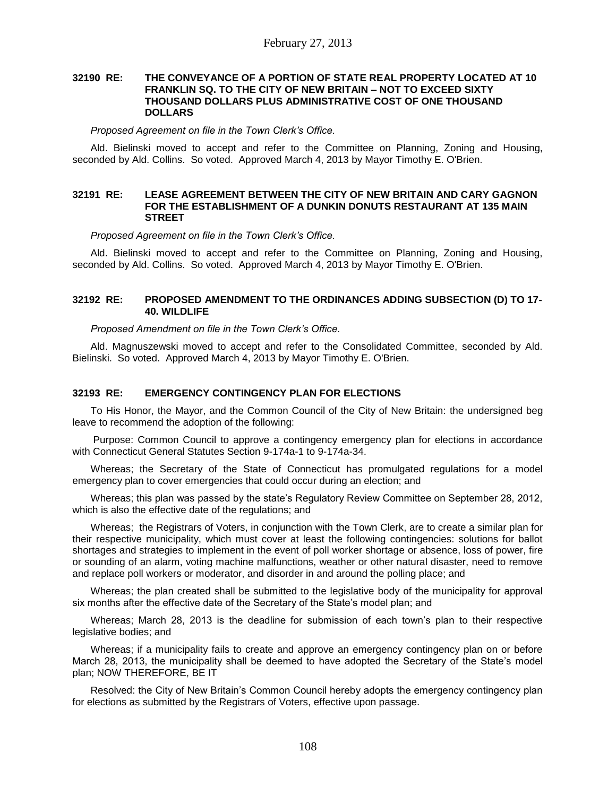#### **32190 RE: THE CONVEYANCE OF A PORTION OF STATE REAL PROPERTY LOCATED AT 10 FRANKLIN SQ. TO THE CITY OF NEW BRITAIN – NOT TO EXCEED SIXTY THOUSAND DOLLARS PLUS ADMINISTRATIVE COST OF ONE THOUSAND DOLLARS**

#### *Proposed Agreement on file in the Town Clerk's Office.*

Ald. Bielinski moved to accept and refer to the Committee on Planning, Zoning and Housing, seconded by Ald. Collins. So voted. Approved March 4, 2013 by Mayor Timothy E. O'Brien.

### **32191 RE: LEASE AGREEMENT BETWEEN THE CITY OF NEW BRITAIN AND CARY GAGNON FOR THE ESTABLISHMENT OF A DUNKIN DONUTS RESTAURANT AT 135 MAIN STREET**

*Proposed Agreement on file in the Town Clerk's Office.*

Ald. Bielinski moved to accept and refer to the Committee on Planning, Zoning and Housing, seconded by Ald. Collins. So voted. Approved March 4, 2013 by Mayor Timothy E. O'Brien.

### **32192 RE: PROPOSED AMENDMENT TO THE ORDINANCES ADDING SUBSECTION (D) TO 17- 40. WILDLIFE**

## *Proposed Amendment on file in the Town Clerk's Office.*

Ald. Magnuszewski moved to accept and refer to the Consolidated Committee, seconded by Ald. Bielinski. So voted. Approved March 4, 2013 by Mayor Timothy E. O'Brien.

### **32193 RE: EMERGENCY CONTINGENCY PLAN FOR ELECTIONS**

To His Honor, the Mayor, and the Common Council of the City of New Britain: the undersigned beg leave to recommend the adoption of the following:

Purpose: Common Council to approve a contingency emergency plan for elections in accordance with Connecticut General Statutes Section 9-174a-1 to 9-174a-34.

Whereas; the Secretary of the State of Connecticut has promulgated regulations for a model emergency plan to cover emergencies that could occur during an election; and

Whereas; this plan was passed by the state's Regulatory Review Committee on September 28, 2012, which is also the effective date of the regulations; and

Whereas; the Registrars of Voters, in conjunction with the Town Clerk, are to create a similar plan for their respective municipality, which must cover at least the following contingencies: solutions for ballot shortages and strategies to implement in the event of poll worker shortage or absence, loss of power, fire or sounding of an alarm, voting machine malfunctions, weather or other natural disaster, need to remove and replace poll workers or moderator, and disorder in and around the polling place; and

Whereas; the plan created shall be submitted to the legislative body of the municipality for approval six months after the effective date of the Secretary of the State's model plan; and

Whereas; March 28, 2013 is the deadline for submission of each town's plan to their respective legislative bodies; and

Whereas; if a municipality fails to create and approve an emergency contingency plan on or before March 28, 2013, the municipality shall be deemed to have adopted the Secretary of the State's model plan; NOW THEREFORE, BE IT

Resolved: the City of New Britain's Common Council hereby adopts the emergency contingency plan for elections as submitted by the Registrars of Voters, effective upon passage.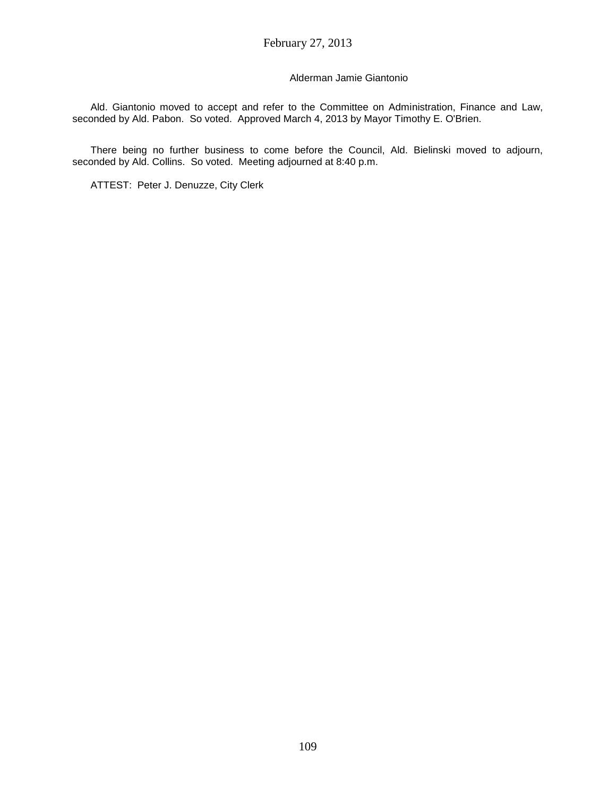## Alderman Jamie Giantonio

Ald. Giantonio moved to accept and refer to the Committee on Administration, Finance and Law, seconded by Ald. Pabon. So voted. Approved March 4, 2013 by Mayor Timothy E. O'Brien.

There being no further business to come before the Council, Ald. Bielinski moved to adjourn, seconded by Ald. Collins. So voted. Meeting adjourned at 8:40 p.m.

ATTEST: Peter J. Denuzze, City Clerk